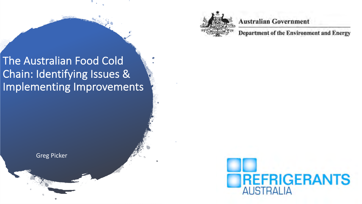

#### **Australian Government**

Department of the Environment and Energy

The Australian Food Cold Chain: Identifying Issues & Implementing Improvements



Greg Picker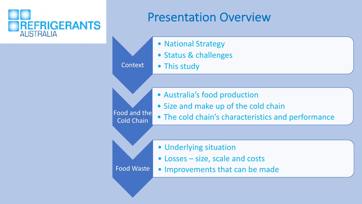

## Presentation Overview

- National Strategy
- Status & challenges
- **Context** • This study

- Food and the Cold Chain
- Australia's food production
- Size and make up of the cold chain
- The cold chain's characteristics and performance
- Underlying situation
- Losses size, scale and costs
- Food Waste • Improvements that can be made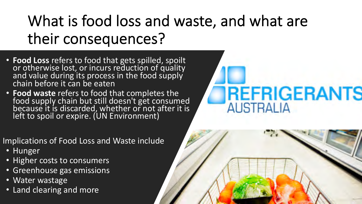## What is food loss and waste, and what are their consequences?

- **Food Loss** refers to food that gets spilled, spoilt or otherwise lost, or incurs reduction of quality and value during its process in the food supply chain before it can be eaten
- **Food waste** refers to food that completes the food supply chain but still doesn't get consumed because it is discarded, whether or not after it is left to spoil or expire. (UN Environment)

### Implications of Food Loss and Waste include

- Hunger
- Higher costs to consumers
- Greenhouse gas emissions
- Water wastage
- Land clearing and more

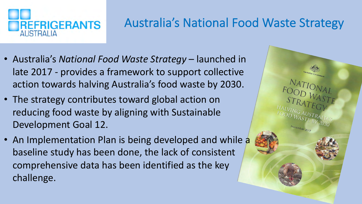

## Australia's National Food Waste Strategy

- Australia's *National Food Waste Strategy*  launched in late 2017 *-* provides a framework to support collective action towards halving Australia's food waste by 2030.
- The strategy contributes toward global action on reducing food waste by aligning with Sustainable Development Goal 12.
- An Implementation Plan is being developed and while a baseline study has been done, the lack of consistent comprehensive data has been identified as the key challenge.

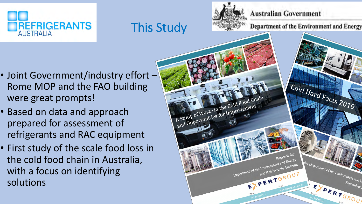

## This Study



**Australian Government** 

- Joint Government/industry effort Rome MOP and the FAO building were great prompts!
- Based on data and approach prepared for assessment of refrigerants and RAC equipment
- First study of the scale food loss in the cold food chain in Australia, with a focus on identifying solutions

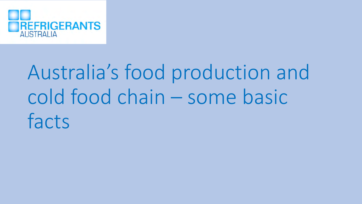

# Australia's food production and cold food chain – some basic facts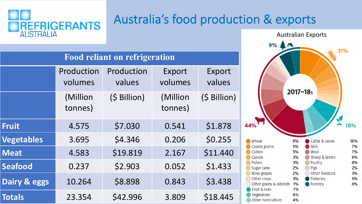

## Australia's food production & exports



Australian Exports9% 全个 31%  $2017 - 18s$ 16% 9% Cattle & calves 16% 5% **O** Milk 7%  $7%$ 5% **Wool** Sheep & lambs 6%  $3%$ O Poultry 4%  $3%$ O Pigs  $2%$ 2%  $2%$ O Other livestock  $3%$  $3%$ **S** Fisheries 5% Other grains & oilseeds  $1%$ **Forestry** 4%  $7%$  $6%$ 

4%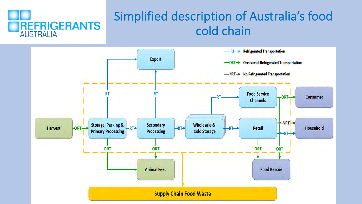

## Simplified description of Australia's food cold chain

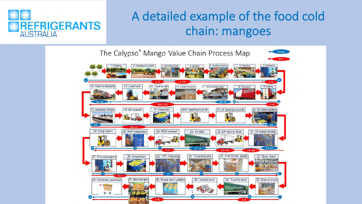

## A detailed example of the food cold chain: mangoes

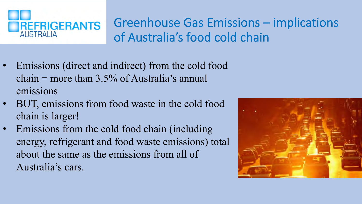

## Greenhouse Gas Emissions – implications of Australia's food cold chain

- Emissions (direct and indirect) from the cold food chain = more than  $3.5\%$  of Australia's annual emissions
- BUT, emissions from food waste in the cold food chain is larger!
- Emissions from the cold food chain (including energy, refrigerant and food waste emissions) total about the same as the emissions from all of Australia's cars.

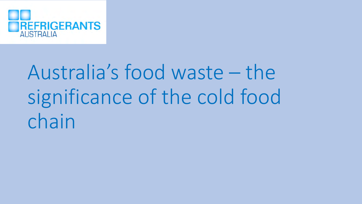

# Australia's food waste – the significance of the cold food chain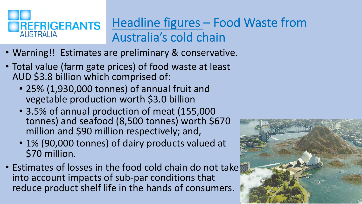

Headline figures – Food Waste from Australia's cold chain

- Warning!! Estimates are preliminary & conservative.
- Total value (farm gate prices) of food waste at least AUD \$3.8 billion which comprised of:
	- 25% (1,930,000 tonnes) of annual fruit and vegetable production worth \$3.0 billion
	- 3.5% of annual production of meat (155,000 tonnes) and seafood (8,500 tonnes) worth \$670 million and \$90 million respectively; and,
	- 1% (90,000 tonnes) of dairy products valued at \$70 million.
- Estimates of losses in the food cold chain do not take into account impacts of sub-par conditions that reduce product shelf life in the hands of consumers.

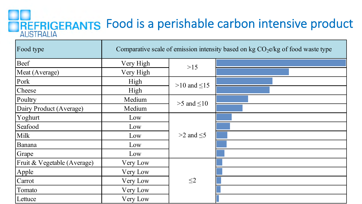# **TREFRIGERANTS Food is a perishable carbon intensive product**

| Food type                   | Comparative scale of emission intensity based on $kg CO2e/kg$ of food waste type |                     |  |
|-----------------------------|----------------------------------------------------------------------------------|---------------------|--|
| Beef                        | Very High                                                                        | $>15$               |  |
| Meat (Average)              | Very High                                                                        |                     |  |
| Pork                        | High                                                                             | $>10$ and $\leq 15$ |  |
| Cheese                      | High                                                                             |                     |  |
| Poultry                     | Medium                                                                           | $>5$ and $\leq 10$  |  |
| Dairy Product (Average)     | Medium                                                                           |                     |  |
| Yoghurt                     | Low                                                                              | $>2$ and $\leq$ 5   |  |
| Seafood                     | Low                                                                              |                     |  |
| Milk                        | Low                                                                              |                     |  |
| Banana                      | Low                                                                              |                     |  |
| Grape                       | Low                                                                              |                     |  |
| Fruit & Vegetable (Average) | Very Low                                                                         | $\leq$ 2            |  |
| Apple                       | Very Low                                                                         |                     |  |
| Carrot                      | Very Low                                                                         |                     |  |
| Tomato                      | Very Low                                                                         |                     |  |
| Lettuce                     | Very Low                                                                         |                     |  |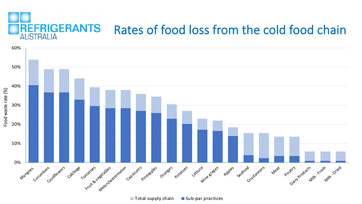

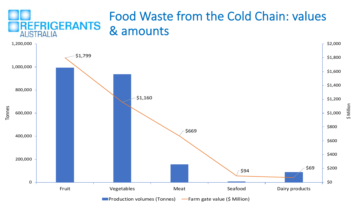#### Food Waste from the Cold Chain: values **REFRIGERANTS** & amounts **AUSTRALIA**



**Production volumes (Tonnes)**  $\longrightarrow$  Farm gate value (\$ Million)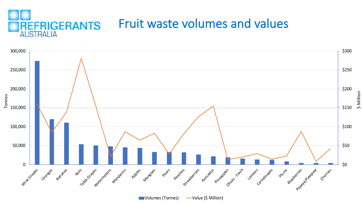### Fruit waste volumes and values **REFRIGERANTS AUSTRALIA**



**Volumes (Tonnes)** — Value (\$ Million)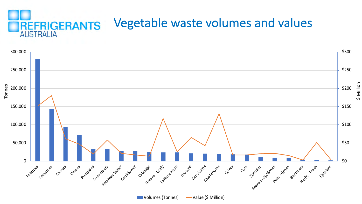### Vegetable waste volumes and values **REFRIGERANTS AUSTRALIA**

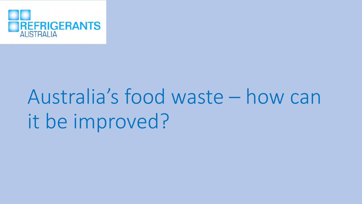

# Australia's food waste – how can it be improved?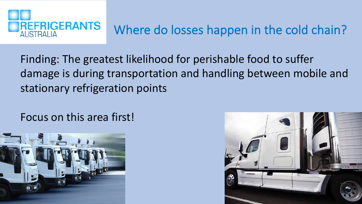

## Where do losses happen in the cold chain?

Finding: The greatest likelihood for perishable food to suffer damage is during transportation and handling between mobile and stationary refrigeration points

### Focus on this area first!



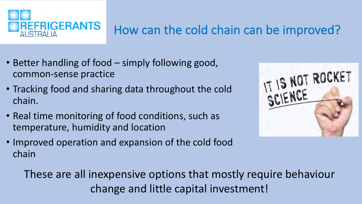

## How can the cold chain can be improved?

- Better handling of food simply following good, common-sense practice
- Tracking food and sharing data throughout the cold chain.
- Real time monitoring of food conditions, such as temperature, humidity and location
- Improved operation and expansion of the cold food chain



These are all inexpensive options that mostly require behaviour change and little capital investment!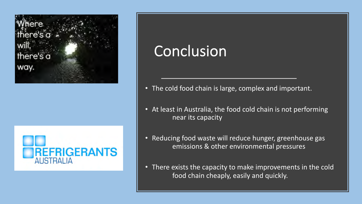there's a way.



## Conclusion

- The cold food chain is large, complex and important.
- At least in Australia, the food cold chain is not performing near its capacity
- Reducing food waste will reduce hunger, greenhouse gas emissions & other environmental pressures
- There exists the capacity to make improvements in the cold food chain cheaply, easily and quickly.